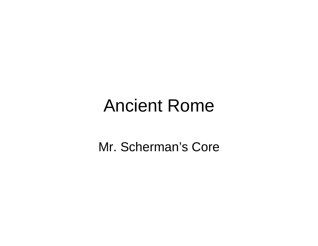#### Ancient Rome

Mr. Scherman's Core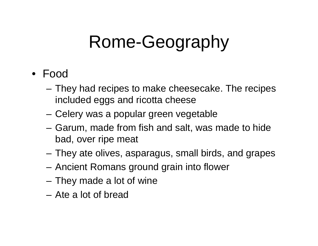#### • Food

- – They had recipes to make cheesecake. The recipes included eggs and ricotta cheese
- Celery was a popular green vegetable
- Garum, made from fish and salt, was made to hide bad, over ripe meat
- They ate olives, asparagus, small birds, and grapes
- Ancient Romans ground grain into flower
- They made a lot of wine
- Ate a lot of bread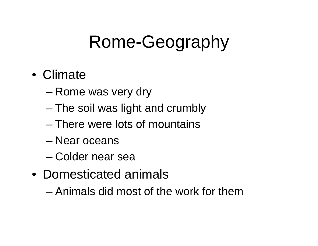#### • Climate

- Rome was very dry
- The soil was light and crumbly
- There were lots of mountains
- Near oceans
- Colder near sea
- Domesticated animals
	- Animals did most of the work for them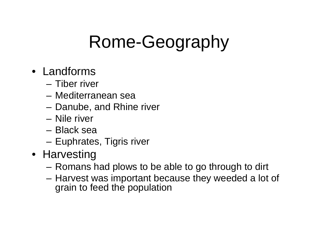#### • Landforms

- Tiber river
- Mediterranean sea
- Danube, and Rhine river
- Nile river
- Black sea
- Euphrates, Tigris river
- Harvesting
	- Romans had plows to be able to go through to dirt
	- – Harvest was important because they weeded a lot of grain to feed the population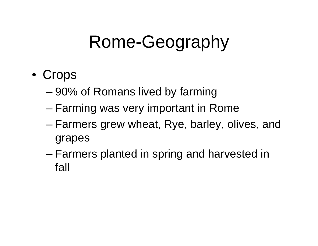- Crops
	- 90% of Romans lived by farming
	- Farming was very important in Rome
	- – Farmers grew wheat, Rye, barley, olives, and grapes
	- – Farmers planted in spring and harvested in fall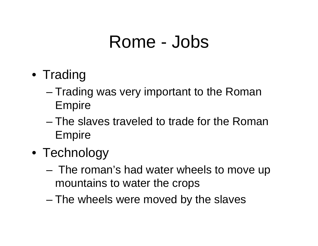#### Rome - Jobs

- Trading
	- Trading was very important to the Roman Empire
	- The slaves traveled to trade for the Roman Empire
- Technology
	- – The roman's had water wheels to move up mountains to water the crops
	- –The wheels were moved by the slaves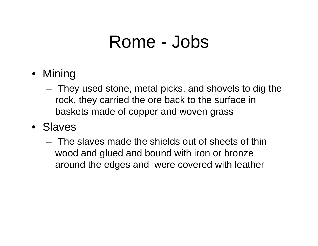#### Rome - Jobs

- Mining
	- – They used stone, metal picks, and shovels to dig the rock, they carried the ore back to the surface in baskets made of copper and woven grass
- Slaves
	- The slaves made the shields out of sheets of thin wood and glued and bound with iron or bronze around the edges and were covered with leather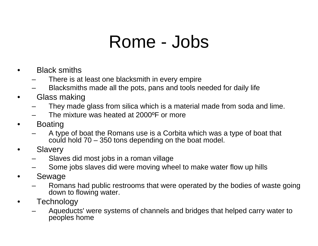#### Rome - Jobs

- • Black smiths
	- There is at least one blacksmith in every empire
	- Blacksmiths made all the pots, pans and tools needed for daily life
- $\bullet$  Glass making
	- They made glass from silica which is a material made from soda and lime.
	- The mixture was heated at 2000ºF or more
- • Boating
	- A type of boat the Romans use is a Corbita which was a type of boat that could hold  $70 - 350$  tons depending on the boat model.
- $\bullet$ **Slavery** 
	- Slaves did most jobs in a roman village
	- Some jobs slaves did were moving wheel to make water flow up hills
- • Sewage
	- Romans had public restrooms that were operated by the bodies of waste going down to flowing water.
- •**Technology** 
	- Aqueducts' were systems of channels and bridges that helped carry water to peoples home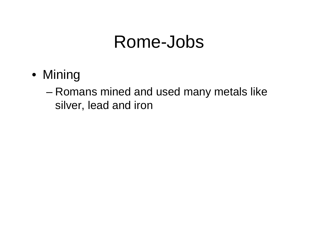#### Rome-Jobs

- Mining
	- Romans mined and used many metals like silver, lead and iron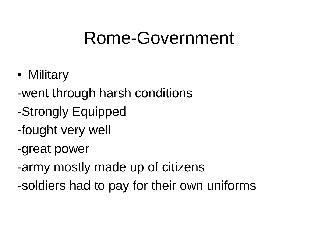- Military
- -went through harsh conditions
- -Strongly Equipped
- -fought very well
- -great power
- -army mostly made up of citizens
- -soldiers had to pay for their own uniforms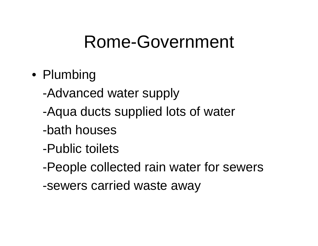- Plumbing
	- -Advanced water supply
	- -Aqua ducts supplied lots of water
	- -bath houses
	- -Public toilets
	- -People collected rain water for sewers
	- -sewers carried waste away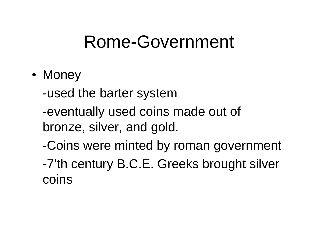• Money

-used the barter system

-eventually used coins made out of bronze, silver, and gold.

-Coins were minted by roman government -7'th century B.C.E. Greeks brought silver coins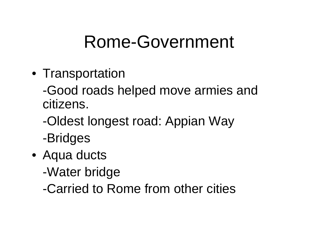• Transportation

-Good roads helped move armies and citizens.

- -Oldest longest road: Appian Way -Bridges
- Aqua ducts
	- -Water bridge
	- -Carried to Rome from other cities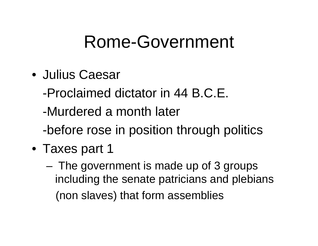- Julius Caesar
	- -Proclaimed dictator in 44 B.C.E.
	- -Murdered a month later
	- -before rose in position through politics
- Taxes part 1
	- – The government is made up of 3 groups including the senate patricians and plebians (non slaves) that form assemblies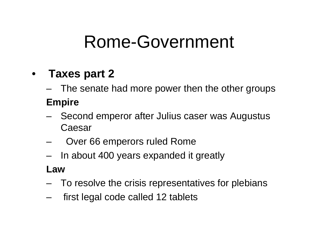#### •**Taxes part 2**

–The senate had more power then the other groups

#### **Empire**

- – Second emperor after Julius caser was Augustus Caesar
- Over 66 emperors ruled Rome
- In about 400 years expanded it greatly

#### **Law**

- To resolve the crisis representatives for plebians
- first legal code called 12 tablets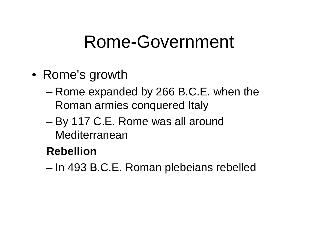- Rome's growth
	- Rome expanded by 266 B.C.E. when the Roman armies conquered Italy
	- – By 117 C.E. Rome was all around Mediterranean

#### **Rebellion**

–In 493 B.C.E. Roman plebeians rebelled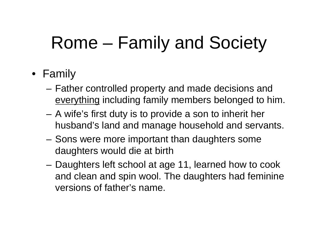# Rome – Family and Society

#### • Family

- – Father controlled property and made decisions and everything including family members belonged to him.
- A wife's first duty is to provide a son to inherit her husband's land and manage household and servants.
- Sons were more important than daughters some daughters would die at birth
- – Daughters left school at age 11, learned how to cook and clean and spin wool. The daughters had feminine versions of father's name.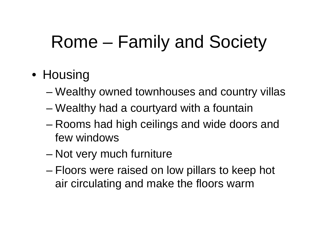# Rome – Family and Society

#### • Housing

- Wealthy owned townhouses and country villas
- Wealthy had a courtyard with a fountain
- – Rooms had high ceilings and wide doors and few windows
- –Not very much furniture
- – Floors were raised on low pillars to keep hot air circulating and make the floors warm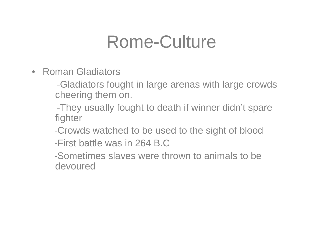#### Rome-Culture

• Roman Gladiators

-Gladiators fought in large arenas with large crowds cheering them on.

-They usually fought to death if winner didn't spare fighter

-Crowds watched to be used to the sight of blood

-First battle was in 264 B.C

-Sometimes slaves were thrown to animals to be devoured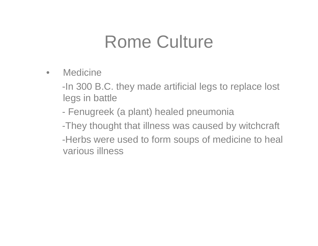#### Rome Culture

 $\bullet$ **Medicine** 

> -In 300 B.C. they made artificial legs to replace lost legs in battle

-Fenugreek (a plant) healed pneumonia

-They thought that illness was caused by witchcraft -Herbs were used to form soups of medicine to heal various illness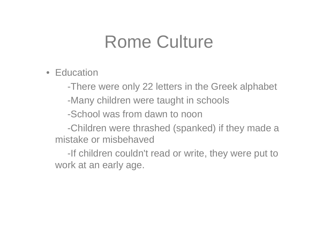#### Rome Culture

• Education

-There were only 22 letters in the Greek alphabet

-Many children were taught in schools

-School was from dawn to noon

-Children were thrashed (spanked) if they made a mistake or misbehaved

-If children couldn't read or write, they were put to work at an early age.